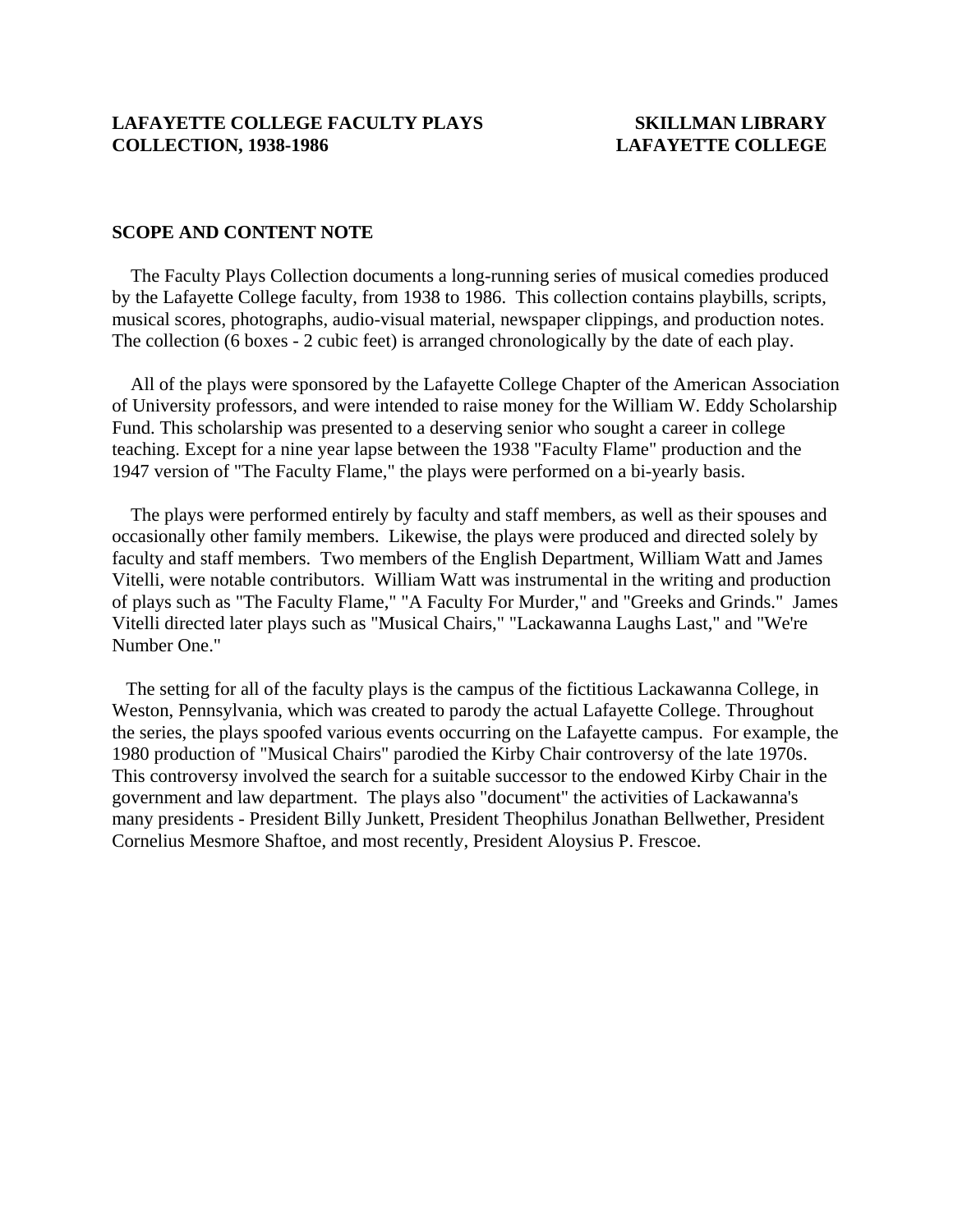### **SCOPE AND CONTENT NOTE**

 The Faculty Plays Collection documents a long-running series of musical comedies produced by the Lafayette College faculty, from 1938 to 1986. This collection contains playbills, scripts, musical scores, photographs, audio-visual material, newspaper clippings, and production notes. The collection (6 boxes - 2 cubic feet) is arranged chronologically by the date of each play.

 All of the plays were sponsored by the Lafayette College Chapter of the American Association of University professors, and were intended to raise money for the William W. Eddy Scholarship Fund. This scholarship was presented to a deserving senior who sought a career in college teaching. Except for a nine year lapse between the 1938 "Faculty Flame" production and the 1947 version of "The Faculty Flame," the plays were performed on a bi-yearly basis.

 The plays were performed entirely by faculty and staff members, as well as their spouses and occasionally other family members. Likewise, the plays were produced and directed solely by faculty and staff members. Two members of the English Department, William Watt and James Vitelli, were notable contributors. William Watt was instrumental in the writing and production of plays such as "The Faculty Flame," "A Faculty For Murder," and "Greeks and Grinds." James Vitelli directed later plays such as "Musical Chairs," "Lackawanna Laughs Last," and "We're Number One."

 The setting for all of the faculty plays is the campus of the fictitious Lackawanna College, in Weston, Pennsylvania, which was created to parody the actual Lafayette College. Throughout the series, the plays spoofed various events occurring on the Lafayette campus. For example, the 1980 production of "Musical Chairs" parodied the Kirby Chair controversy of the late 1970s. This controversy involved the search for a suitable successor to the endowed Kirby Chair in the government and law department. The plays also "document" the activities of Lackawanna's many presidents - President Billy Junkett, President Theophilus Jonathan Bellwether, President Cornelius Mesmore Shaftoe, and most recently, President Aloysius P. Frescoe.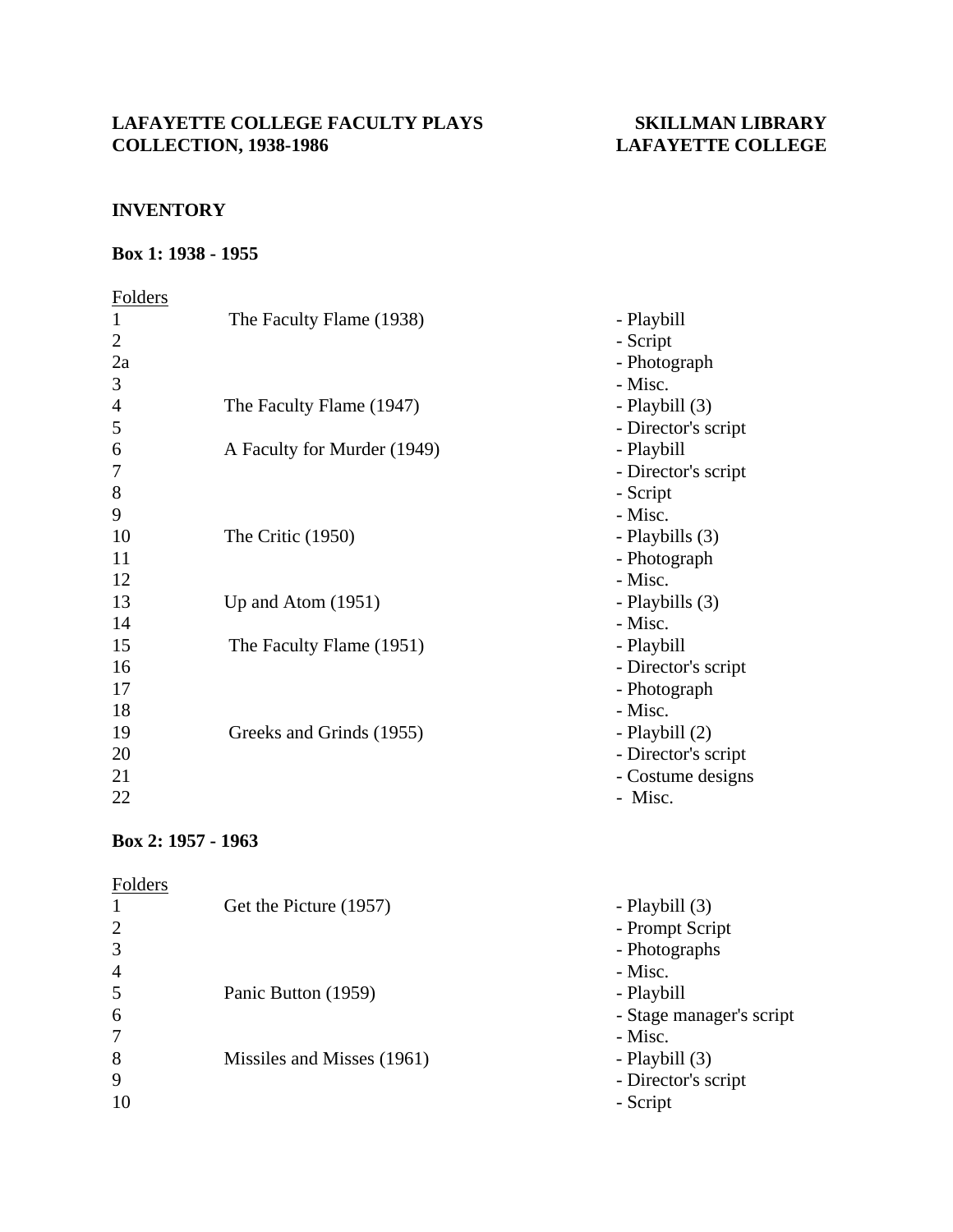## **INVENTORY**

### **Box 1: 1938 - 1955**

## Folders 1 The Faculty Flame (1938) - Playbill 2 - Script 2a - Photograph  $3 -$ Misc. 4 The Faculty Flame (1947) - Playbill (3) 5 - Director's script 6 A Faculty for Murder (1949) - Playbill 7 - Director's script 8 - Script  $9 -$ Misc. 10 The Critic (1950) - Playbills (3) 11 - Photograph  $12$  - Misc. 13 Up and Atom (1951) - Playbills (3)  $14$  - Misc. 15 The Faculty Flame (1951) - Playbill 16 - Director's script 17 - Photograph  $18$  - Misc. 19 Greeks and Grinds (1955) - Playbill (2) 20 - Director's script 21 - Costume designs  $22$  - Misc.

### **Box 2: 1957 - 1963**

| Folders        |                            |                          |
|----------------|----------------------------|--------------------------|
|                | Get the Picture (1957)     | - Playbill (3)           |
| 2              |                            | - Prompt Script          |
| 3              |                            | - Photographs            |
| $\overline{4}$ |                            | - Misc.                  |
| 5              | Panic Button (1959)        | - Playbill               |
| 6              |                            | - Stage manager's script |
|                |                            | - Misc.                  |
| 8              | Missiles and Misses (1961) | - Playbill (3)           |
| 9              |                            | - Director's script      |
| 10             |                            | - Script                 |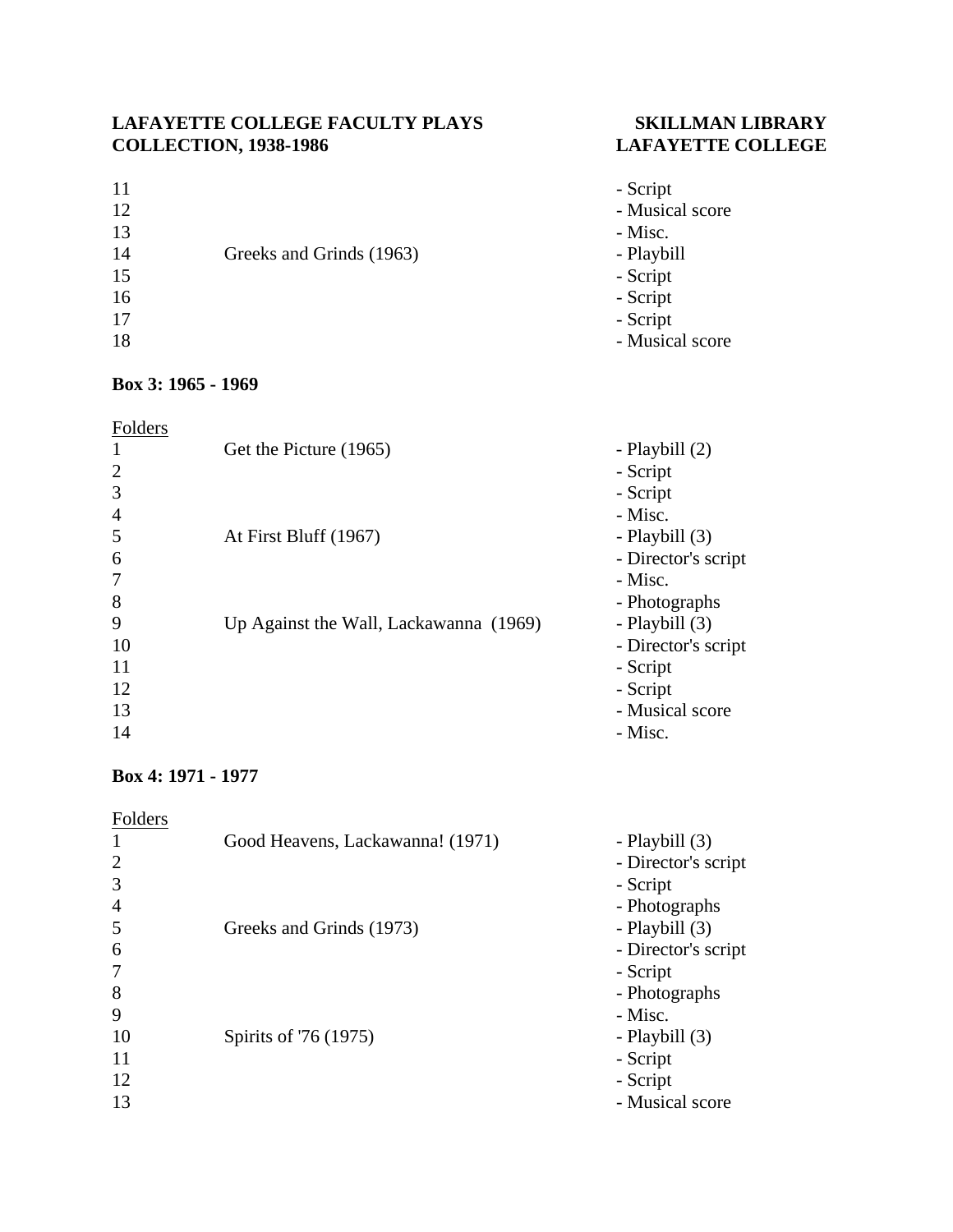## 11 - Script 12 - Musical score  $13$  - Misc. 14 Greeks and Grinds (1963) - Playbill 15 - Script 16 - Script 17 - Script 18 - Musical score

# **Box 3: 1965 - 1969**

| Folders        |                                        |                     |
|----------------|----------------------------------------|---------------------|
| 1              | Get the Picture (1965)                 | - Playbill (2)      |
| $\overline{2}$ |                                        | - Script            |
| 3              |                                        | - Script            |
| $\overline{4}$ |                                        | - Misc.             |
| 5              | At First Bluff (1967)                  | - Playbill (3)      |
| 6              |                                        | - Director's script |
| 7              |                                        | - Misc.             |
| 8              |                                        | - Photographs       |
| 9              | Up Against the Wall, Lackawanna (1969) | - Playbill (3)      |
| 10             |                                        | - Director's script |
| 11             |                                        | - Script            |
| 12             |                                        | - Script            |
| 13             |                                        | - Musical score     |
| 14             |                                        | - Misc.             |

## **Box 4: 1971 - 1977**

| Folders |                                  |                     |
|---------|----------------------------------|---------------------|
|         | Good Heavens, Lackawanna! (1971) | - Playbill (3)      |
| 2       |                                  | - Director's script |
| 3       |                                  | - Script            |
| 4       |                                  | - Photographs       |
| 5       | Greeks and Grinds (1973)         | - Playbill (3)      |
| 6       |                                  | - Director's script |
|         |                                  | - Script            |
| 8       |                                  | - Photographs       |
| 9       |                                  | - Misc.             |
| 10      | Spirits of '76 (1975)            | - Playbill (3)      |
| 11      |                                  | - Script            |
| 12      |                                  | - Script            |
| 13      |                                  | - Musical score     |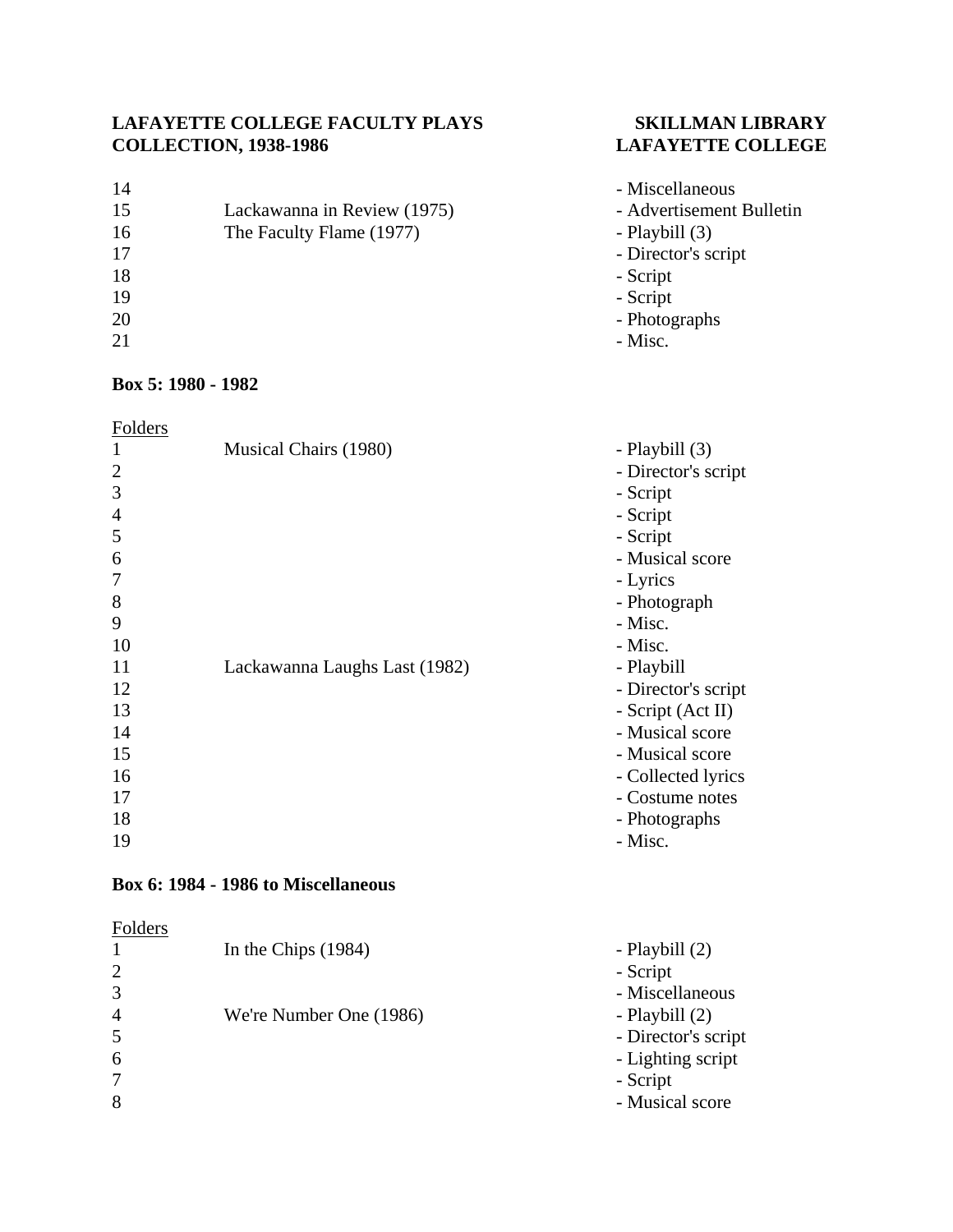| 14 |                             | - Miscellaneous          |
|----|-----------------------------|--------------------------|
| 15 | Lackawanna in Review (1975) | - Advertisement Bulletin |
| 16 | The Faculty Flame (1977)    | - Playbill (3)           |
| 17 |                             | - Director's script      |
| 18 |                             | - Script                 |
| 19 |                             | - Script                 |
| 20 |                             | - Photographs            |
| 21 |                             | - Misc.                  |
|    |                             |                          |

# **Box 5: 1980 - 1982**

| 11 C<br>۰. |
|------------|
|------------|

| $\mathbf{1}$   | Musical Chairs (1980)         | - Playbill (3)       |  |
|----------------|-------------------------------|----------------------|--|
| $\overline{2}$ |                               | - Director's script  |  |
| 3              |                               | - Script             |  |
| $\overline{4}$ |                               | - Script<br>- Script |  |
| 5              |                               |                      |  |
| 6              |                               | - Musical score      |  |
| 7              |                               | - Lyrics             |  |
| 8              |                               | - Photograph         |  |
| 9              |                               | - Misc.              |  |
| 10             |                               | - Misc.              |  |
| 11             | Lackawanna Laughs Last (1982) | - Playbill           |  |
| 12             |                               | - Director's script  |  |
| 13             |                               | - Script (Act II)    |  |
| 14             |                               | - Musical score      |  |
| 15             |                               | - Musical score      |  |
| 16             |                               | - Collected lyrics   |  |
| 17             |                               | - Costume notes      |  |
| 18             |                               | - Photographs        |  |
| 19             |                               | - Misc.              |  |

## **Box 6: 1984 - 1986 to Miscellaneous**

# Folders

|                | In the Chips $(1984)$   | - Playbill (2)      |
|----------------|-------------------------|---------------------|
| $\overline{2}$ |                         | - Script            |
| $\overline{3}$ |                         | - Miscellaneous     |
| $\overline{4}$ | We're Number One (1986) | - Playbill $(2)$    |
| $\overline{5}$ |                         | - Director's script |
| 6              |                         | - Lighting script   |
| $\overline{7}$ |                         | - Script            |
| 8              |                         | - Musical score     |